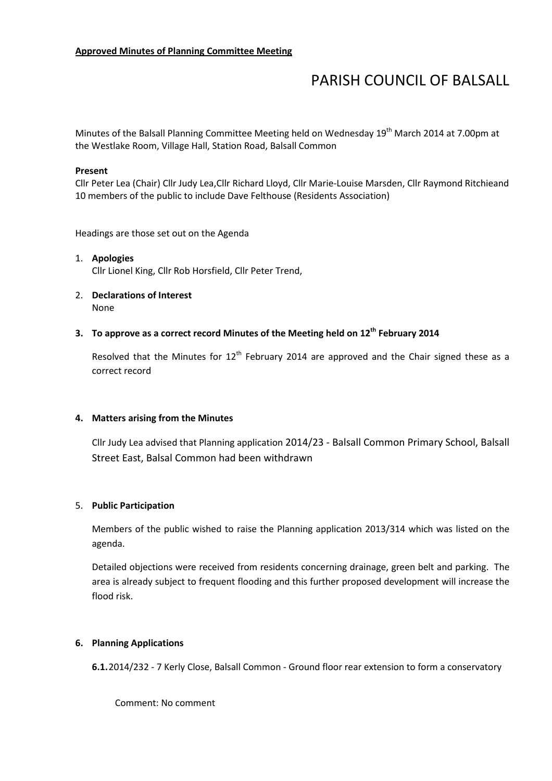# PARISH COUNCIL OF BALSALL

Minutes of the Balsall Planning Committee Meeting held on Wednesday 19<sup>th</sup> March 2014 at 7.00pm at the Westlake Room, Village Hall, Station Road, Balsall Common

#### Present

Cllr Peter Lea (Chair) Cllr Judy Lea,Cllr Richard Lloyd, Cllr Marie-Louise Marsden, Cllr Raymond Ritchieand 10 members of the public to include Dave Felthouse (Residents Association)

Headings are those set out on the Agenda

- 1. Apologies Cllr Lionel King, Cllr Rob Horsfield, Cllr Peter Trend,
- 2. Declarations of Interest None

## 3. To approve as a correct record Minutes of the Meeting held on  $12^{th}$  February 2014

Resolved that the Minutes for  $12<sup>th</sup>$  February 2014 are approved and the Chair signed these as a correct record

#### 4. Matters arising from the Minutes

Cllr Judy Lea advised that Planning application 2014/23 - Balsall Common Primary School, Balsall Street East, Balsal Common had been withdrawn

#### 5. Public Participation

Members of the public wished to raise the Planning application 2013/314 which was listed on the agenda.

Detailed objections were received from residents concerning drainage, green belt and parking. The area is already subject to frequent flooding and this further proposed development will increase the flood risk.

#### 6. Planning Applications

6.1.2014/232 - 7 Kerly Close, Balsall Common - Ground floor rear extension to form a conservatory

Comment: No comment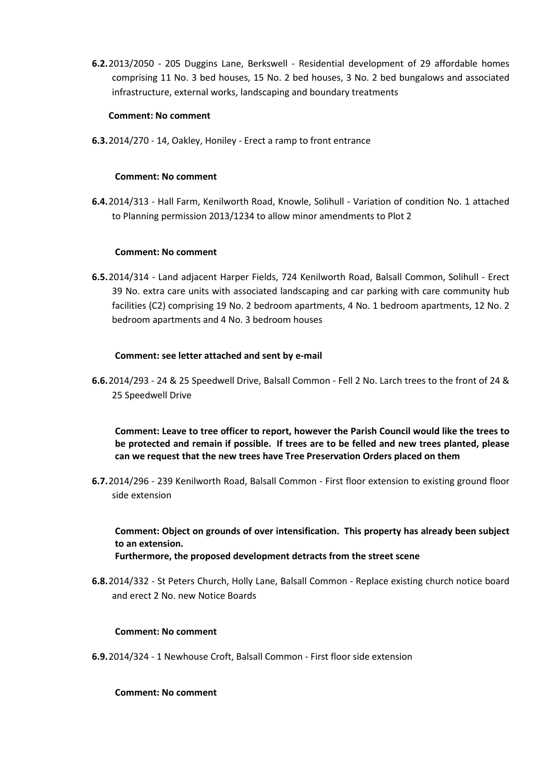6.2.2013/2050 - 205 Duggins Lane, Berkswell - Residential development of 29 affordable homes comprising 11 No. 3 bed houses, 15 No. 2 bed houses, 3 No. 2 bed bungalows and associated infrastructure, external works, landscaping and boundary treatments

### Comment: No comment

6.3.2014/270 - 14, Oakley, Honiley - Erect a ramp to front entrance

#### Comment: No comment

6.4.2014/313 - Hall Farm, Kenilworth Road, Knowle, Solihull - Variation of condition No. 1 attached to Planning permission 2013/1234 to allow minor amendments to Plot 2

## Comment: No comment

6.5.2014/314 - Land adjacent Harper Fields, 724 Kenilworth Road, Balsall Common, Solihull - Erect 39 No. extra care units with associated landscaping and car parking with care community hub facilities (C2) comprising 19 No. 2 bedroom apartments, 4 No. 1 bedroom apartments, 12 No. 2 bedroom apartments and 4 No. 3 bedroom houses

## Comment: see letter attached and sent by e-mail

6.6.2014/293 - 24 & 25 Speedwell Drive, Balsall Common - Fell 2 No. Larch trees to the front of 24 & 25 Speedwell Drive

Comment: Leave to tree officer to report, however the Parish Council would like the trees to be protected and remain if possible. If trees are to be felled and new trees planted, please can we request that the new trees have Tree Preservation Orders placed on them

6.7.2014/296 - 239 Kenilworth Road, Balsall Common - First floor extension to existing ground floor side extension

Comment: Object on grounds of over intensification. This property has already been subject to an extension.

Furthermore, the proposed development detracts from the street scene

6.8.2014/332 - St Peters Church, Holly Lane, Balsall Common - Replace existing church notice board and erect 2 No. new Notice Boards

#### Comment: No comment

6.9.2014/324 - 1 Newhouse Croft, Balsall Common - First floor side extension

#### Comment: No comment